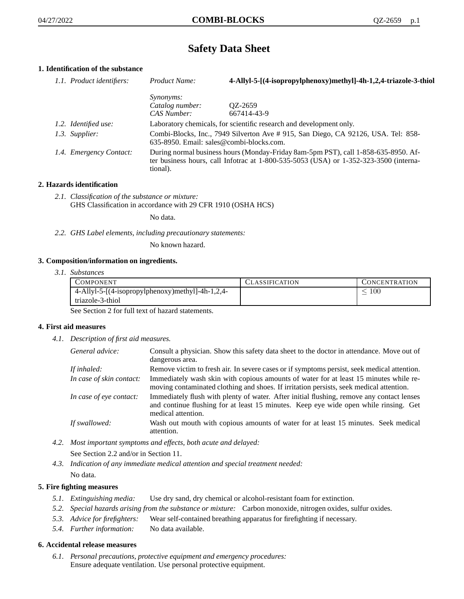# **Safety Data Sheet**

# **1. Identification of the substance**

| 1.1. Product identifiers: | Product Name:                                                                                                                                                                               | 4-Allyl-5-[(4-isopropylphenoxy)methyl]-4h-1,2,4-triazole-3-thiol    |
|---------------------------|---------------------------------------------------------------------------------------------------------------------------------------------------------------------------------------------|---------------------------------------------------------------------|
|                           | <i>Synonyms:</i>                                                                                                                                                                            |                                                                     |
|                           | Catalog number:                                                                                                                                                                             | QZ-2659                                                             |
|                           | CAS Number:                                                                                                                                                                                 | 667414-43-9                                                         |
| 1.2. Identified use:      |                                                                                                                                                                                             | Laboratory chemicals, for scientific research and development only. |
| 1.3. Supplier:            | Combi-Blocks, Inc., 7949 Silverton Ave # 915, San Diego, CA 92126, USA. Tel: 858-<br>$635-8950$ . Email: sales@combi-blocks.com.                                                            |                                                                     |
| 1.4. Emergency Contact:   | During normal business hours (Monday-Friday 8am-5pm PST), call 1-858-635-8950. Af-<br>ter business hours, call Infotrac at $1-800-535-5053$ (USA) or $1-352-323-3500$ (interna-<br>tional). |                                                                     |

## **2. Hazards identification**

*2.1. Classification of the substance or mixture:* GHS Classification in accordance with 29 CFR 1910 (OSHA HCS)

No data.

*2.2. GHS Label elements, including precautionary statements:*

No known hazard.

## **3. Composition/information on ingredients.**

*3.1. Substances*

| COMPONENT                                        | CLASSIFICATION | CONCENTRATION |
|--------------------------------------------------|----------------|---------------|
| 4-Allyl-5-[(4-isopropylphenoxy)methyl]-4h-1,2,4- |                | 100           |
| triazole-3-thiol                                 |                |               |

See Section 2 for full text of hazard statements.

## **4. First aid measures**

*4.1. Description of first aid measures.*

| General advice:          | Consult a physician. Show this safety data sheet to the doctor in attendance. Move out of<br>dangerous area.                                                                                            |
|--------------------------|---------------------------------------------------------------------------------------------------------------------------------------------------------------------------------------------------------|
| If inhaled:              | Remove victim to fresh air. In severe cases or if symptoms persist, seek medical attention.                                                                                                             |
| In case of skin contact: | Immediately wash skin with copious amounts of water for at least 15 minutes while re-<br>moving contaminated clothing and shoes. If irritation persists, seek medical attention.                        |
| In case of eye contact:  | Immediately flush with plenty of water. After initial flushing, remove any contact lenses<br>and continue flushing for at least 15 minutes. Keep eye wide open while rinsing. Get<br>medical attention. |
| If swallowed:            | Wash out mouth with copious amounts of water for at least 15 minutes. Seek medical<br>attention.                                                                                                        |

- *4.2. Most important symptoms and effects, both acute and delayed:* See Section 2.2 and/or in Section 11.
- *4.3. Indication of any immediate medical attention and special treatment needed:* No data.

## **5. Fire fighting measures**

- *5.1. Extinguishing media:* Use dry sand, dry chemical or alcohol-resistant foam for extinction.
- *5.2. Special hazards arising from the substance or mixture:* Carbon monoxide, nitrogen oxides, sulfur oxides.
- *5.3. Advice for firefighters:* Wear self-contained breathing apparatus for firefighting if necessary.
- *5.4. Further information:* No data available.

## **6. Accidental release measures**

*6.1. Personal precautions, protective equipment and emergency procedures:* Ensure adequate ventilation. Use personal protective equipment.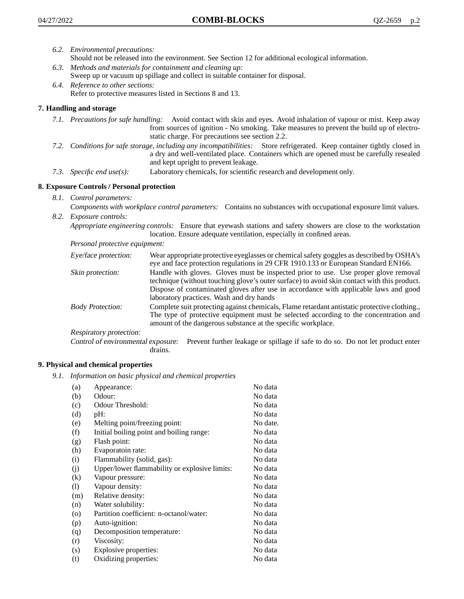- *6.2. Environmental precautions:*
	- Should not be released into the environment. See Section 12 for additional ecological information.
- *6.3. Methods and materials for containment and cleaning up:* Sweep up or vacuum up spillage and collect in suitable container for disposal.
- *6.4. Reference to other sections:* Refer to protective measures listed in Sections 8 and 13.

# **7. Handling and storage**

- *7.1. Precautions for safe handling:* Avoid contact with skin and eyes. Avoid inhalation of vapour or mist. Keep away from sources of ignition - No smoking. Take measures to prevent the build up of electrostatic charge. For precautions see section 2.2.
- *7.2. Conditions for safe storage, including any incompatibilities:* Store refrigerated. Keep container tightly closed in a dry and well-ventilated place. Containers which are opened must be carefully resealed and kept upright to prevent leakage.
- *7.3. Specific end use(s):* Laboratory chemicals, for scientific research and development only.

## **8. Exposure Controls / Personal protection**

*8.1. Control parameters:*

*Components with workplace control parameters:* Contains no substances with occupational exposure limit values. *8.2. Exposure controls:*

*Appropriate engineering controls:* Ensure that eyewash stations and safety showers are close to the workstation location. Ensure adequate ventilation, especially in confined areas.

*Personal protective equipment:*

| Eye/face protection:    | Wear appropriate protective eyeglasses or chemical safety goggles as described by OSHA's<br>eye and face protection regulations in 29 CFR 1910.133 or European Standard EN166.                                                                                                                                         |
|-------------------------|------------------------------------------------------------------------------------------------------------------------------------------------------------------------------------------------------------------------------------------------------------------------------------------------------------------------|
| Skin protection:        | Handle with gloves. Gloves must be inspected prior to use. Use proper glove removal<br>technique (without touching glove's outer surface) to avoid skin contact with this product.<br>Dispose of contaminated gloves after use in accordance with applicable laws and good<br>laboratory practices. Wash and dry hands |
| <b>Body Protection:</b> | Complete suit protecting against chemicals, Flame retardant antistatic protective clothing.,<br>The type of protective equipment must be selected according to the concentration and<br>amount of the dangerous substance at the specific workplace.                                                                   |
| Respiratory protection: |                                                                                                                                                                                                                                                                                                                        |

Control of environmental exposure: Prevent further leakage or spillage if safe to do so. Do not let product enter drains.

## **9. Physical and chemical properties**

*9.1. Information on basic physical and chemical properties*

| (a)     | Appearance:                                   | No data  |
|---------|-----------------------------------------------|----------|
| (b)     | Odour:                                        | No data  |
| (c)     | Odour Threshold:                              | No data  |
| (d)     | pH:                                           | No data  |
| (e)     | Melting point/freezing point:                 | No date. |
| (f)     | Initial boiling point and boiling range:      | No data  |
| (g)     | Flash point:                                  | No data  |
| (h)     | Evaporatoin rate:                             | No data  |
| (i)     | Flammability (solid, gas):                    | No data  |
| (j)     | Upper/lower flammability or explosive limits: | No data  |
| (k)     | Vapour pressure:                              | No data  |
| (1)     | Vapour density:                               | No data  |
| (m)     | Relative density:                             | No data  |
| (n)     | Water solubility:                             | No data  |
| $\circ$ | Partition coefficient: n-octanol/water:       | No data  |
| (p)     | Auto-ignition:                                | No data  |
| (q)     | Decomposition temperature:                    | No data  |
| (r)     | Viscosity:                                    | No data  |
| (s)     | Explosive properties:                         | No data  |
| (t)     | Oxidizing properties:                         | No data  |